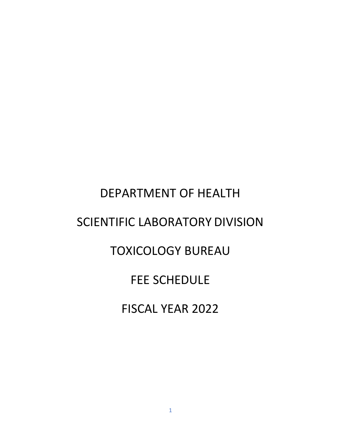# DEPARTMENT OF HEALTH SCIENTIFIC LABORATORY DIVISION TOXICOLOGY BUREAU FEE SCHEDULE

FISCAL YEAR 2022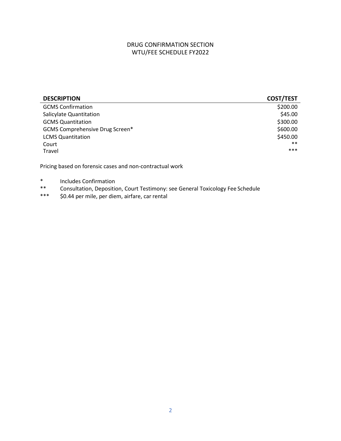## DRUG CONFIRMATION SECTION WTU/FEE SCHEDULE FY2022

| <b>DESCRIPTION</b>                     | <b>COST/TEST</b> |
|----------------------------------------|------------------|
| <b>GCMS Confirmation</b>               | \$200.00         |
| Salicylate Quantitation                | \$45.00          |
| <b>GCMS Quantitation</b>               | \$300.00         |
| <b>GCMS Comprehensive Drug Screen*</b> | \$600.00         |
| <b>LCMS Quantitation</b>               | \$450.00         |
| Court                                  | $***$            |
| Travel                                 | $***$            |

Pricing based on forensic cases and non-contractual work

- \* Includes Confirmation<br>\*\* Consultation Deposition
- Consultation, Deposition, Court Testimony: see General Toxicology Fee Schedule
- \*\*\* \$0.44 per mile, per diem, airfare, car rental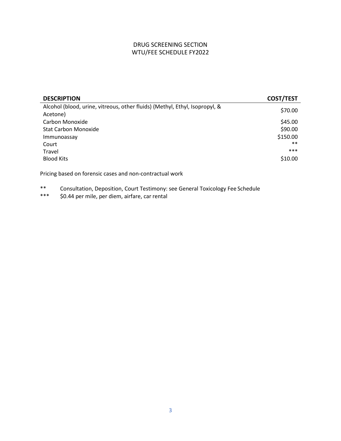## DRUG SCREENING SECTION WTU/FEE SCHEDULE FY2022

| <b>COST/TEST</b> |
|------------------|
| \$70.00          |
| \$45.00          |
| \$90.00          |
| \$150.00         |
| $**$             |
| ***              |
| \$10.00          |
|                  |

Pricing based on forensic cases and non-contractual work

\*\* Consultation, Deposition, Court Testimony: see General Toxicology Fee Schedule<br>\*\*\* S0.44 per mile, per diem, airfare, car rental

\$0.44 per mile, per diem, airfare, car rental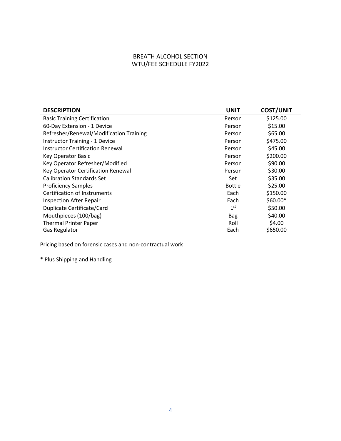## BREATH ALCOHOL SECTION WTU/FEE SCHEDULE FY2022

| <b>DESCRIPTION</b>                      | <b>UNIT</b>     | <b>COST/UNIT</b> |
|-----------------------------------------|-----------------|------------------|
| <b>Basic Training Certification</b>     | Person          | \$125.00         |
| 60-Day Extension - 1 Device             | Person          | \$15.00          |
| Refresher/Renewal/Modification Training | Person          | \$65.00          |
| <b>Instructor Training - 1 Device</b>   | Person          | \$475.00         |
| <b>Instructor Certification Renewal</b> | Person          | \$45.00          |
| <b>Key Operator Basic</b>               | Person          | \$200.00         |
| Key Operator Refresher/Modified         | Person          | \$90.00          |
| Key Operator Certification Renewal      | Person          | \$30.00          |
| <b>Calibration Standards Set</b>        | Set             | \$35.00          |
| <b>Proficiency Samples</b>              | <b>Bottle</b>   | \$25.00          |
| <b>Certification of Instruments</b>     | Each            | \$150.00         |
| <b>Inspection After Repair</b>          | Each            | $$60.00*$        |
| Duplicate Certificate/Card              | 1 <sup>st</sup> | \$50.00          |
| Mouthpieces (100/bag)                   | <b>Bag</b>      | \$40.00          |
| <b>Thermal Printer Paper</b>            | Roll            | \$4.00           |
| Gas Regulator                           | Each            | \$650.00         |

Pricing based on forensic cases and non-contractual work

\* Plus Shipping and Handling